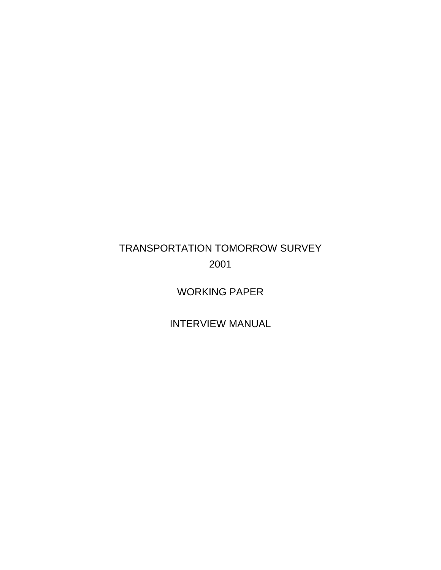# TRANSPORTATION TOMORROW SURVEY 2001

WORKING PAPER

INTERVIEW MANUAL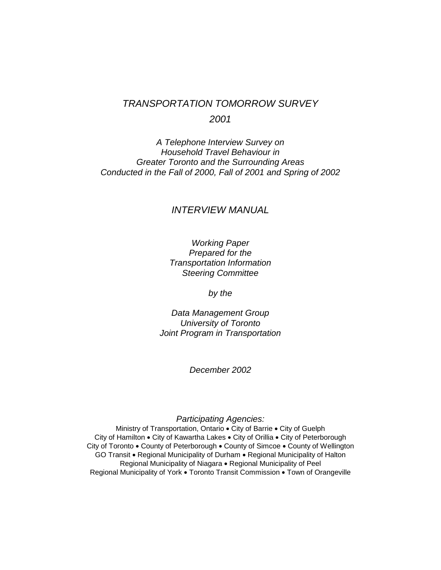# TRANSPORTATION TOMORROW SURVEY 2001

A Telephone Interview Survey on Household Travel Behaviour in Greater Toronto and the Surrounding Areas Conducted in the Fall of 2000, Fall of 2001 and Spring of 2002

## INTERVIEW MANUAL

# Working Paper Prepared for the Transportation Information Steering Committee

by the

Data Management Group University of Toronto Joint Program in Transportation

December 2002

Participating Agencies:

Ministry of Transportation, Ontario • City of Barrie • City of Guelph City of Hamilton • City of Kawartha Lakes • City of Orillia • City of Peterborough City of Toronto • County of Peterborough • County of Simcoe • County of Wellington GO Transit • Regional Municipality of Durham • Regional Municipality of Halton Regional Municipality of Niagara • Regional Municipality of Peel Regional Municipality of York • Toronto Transit Commission • Town of Orangeville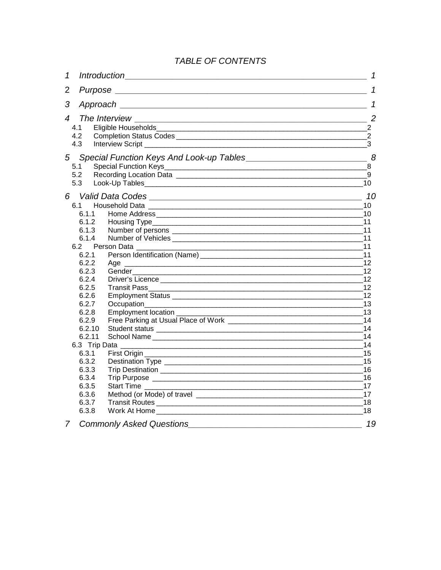# TABLE OF CONTENTS

| $\mathcal I$             |                                                                                                                                                                                                                                |                |  |  |
|--------------------------|--------------------------------------------------------------------------------------------------------------------------------------------------------------------------------------------------------------------------------|----------------|--|--|
| $\overline{2}$           |                                                                                                                                                                                                                                |                |  |  |
| 3                        | Approach the contract of the contract of the contract of the contract of the contract of the contract of the contract of the contract of the contract of the contract of the contract of the contract of the contract of the c | $\mathcal I$   |  |  |
| $\boldsymbol{\varDelta}$ | The Interview<br><u> 2000 - Jan James James James James James James James James James James James James James James James James J</u>                                                                                          | $\overline{c}$ |  |  |
| 41                       |                                                                                                                                                                                                                                | 2              |  |  |
| 4.2                      |                                                                                                                                                                                                                                | 2              |  |  |
| 4.3                      |                                                                                                                                                                                                                                | 3              |  |  |
| 5 <sup>5</sup>           |                                                                                                                                                                                                                                |                |  |  |
| 5.1                      | <b>Special Function Keys</b>                                                                                                                                                                                                   |                |  |  |
| 5.2                      |                                                                                                                                                                                                                                | 9              |  |  |
| 5.3                      |                                                                                                                                                                                                                                |                |  |  |
| 6                        |                                                                                                                                                                                                                                | 10             |  |  |
| 6.1                      |                                                                                                                                                                                                                                | 10             |  |  |
| 6.1.1                    |                                                                                                                                                                                                                                | 10             |  |  |
| 6.1.2                    |                                                                                                                                                                                                                                |                |  |  |
| 6.1.3                    |                                                                                                                                                                                                                                | 11             |  |  |
| 6.1.4                    |                                                                                                                                                                                                                                | 11             |  |  |
| 6.2                      | Person Data _________                                                                                                                                                                                                          | 11             |  |  |
| 6.2.1                    |                                                                                                                                                                                                                                | 11             |  |  |
| 6.2.2                    | Age<br><u> 1989 - Johann Johann Stoff, deutscher Stoffen und der Stoffen und der Stoffen und der Stoffen und der Stoffen</u>                                                                                                   | 12             |  |  |
| 6.2.3                    |                                                                                                                                                                                                                                | 12             |  |  |
| 6.2.4                    |                                                                                                                                                                                                                                | 12             |  |  |
| 6.2.5                    |                                                                                                                                                                                                                                | 12             |  |  |
| 6.2.6                    |                                                                                                                                                                                                                                | 12             |  |  |
| 6.2.7<br>6.2.8           |                                                                                                                                                                                                                                | 13             |  |  |
| 6.2.9                    | Employment location _____________                                                                                                                                                                                              | 13<br>14       |  |  |
| 6.2.10                   |                                                                                                                                                                                                                                | 14             |  |  |
| 6.2.11                   |                                                                                                                                                                                                                                | 14             |  |  |
| 6.3 Trip Data            | <u> 1989 - Johann Johann Stoff, deutscher Stoffen und der Stoffen und der Stoffen und der Stoffen und der Stoffen</u>                                                                                                          | 14             |  |  |
| 6.3.1                    |                                                                                                                                                                                                                                | 15             |  |  |
| 6.3.2                    |                                                                                                                                                                                                                                | 15             |  |  |
| 6.3.3                    |                                                                                                                                                                                                                                | 16             |  |  |
| 6.3.4                    |                                                                                                                                                                                                                                | 16             |  |  |
| 6.3.5                    | Start Time                                                                                                                                                                                                                     | 17             |  |  |
| 6.3.6                    |                                                                                                                                                                                                                                | 17             |  |  |
| 6.3.7                    |                                                                                                                                                                                                                                | 18             |  |  |
| 6.3.8                    |                                                                                                                                                                                                                                | 18             |  |  |
| $\overline{7}$           | <b>Commonly Asked Questions</b>                                                                                                                                                                                                | 19             |  |  |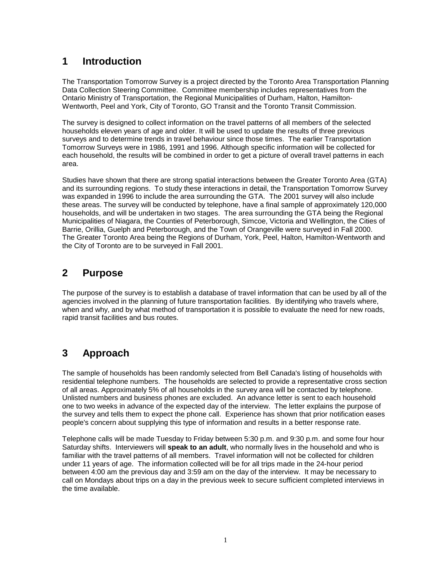# **1 Introduction**

The Transportation Tomorrow Survey is a project directed by the Toronto Area Transportation Planning Data Collection Steering Committee. Committee membership includes representatives from the Ontario Ministry of Transportation, the Regional Municipalities of Durham, Halton, Hamilton-Wentworth, Peel and York, City of Toronto, GO Transit and the Toronto Transit Commission.

The survey is designed to collect information on the travel patterns of all members of the selected households eleven years of age and older. It will be used to update the results of three previous surveys and to determine trends in travel behaviour since those times. The earlier Transportation Tomorrow Surveys were in 1986, 1991 and 1996. Although specific information will be collected for each household, the results will be combined in order to get a picture of overall travel patterns in each area.

Studies have shown that there are strong spatial interactions between the Greater Toronto Area (GTA) and its surrounding regions. To study these interactions in detail, the Transportation Tomorrow Survey was expanded in 1996 to include the area surrounding the GTA. The 2001 survey will also include these areas. The survey will be conducted by telephone, have a final sample of approximately 120,000 households, and will be undertaken in two stages. The area surrounding the GTA being the Regional Municipalities of Niagara, the Counties of Peterborough, Simcoe, Victoria and Wellington, the Cities of Barrie, Orillia, Guelph and Peterborough, and the Town of Orangeville were surveyed in Fall 2000. The Greater Toronto Area being the Regions of Durham, York, Peel, Halton, Hamilton-Wentworth and the City of Toronto are to be surveyed in Fall 2001.

# **2 Purpose**

The purpose of the survey is to establish a database of travel information that can be used by all of the agencies involved in the planning of future transportation facilities. By identifying who travels where, when and why, and by what method of transportation it is possible to evaluate the need for new roads, rapid transit facilities and bus routes.

# **3 Approach**

The sample of households has been randomly selected from Bell Canada's listing of households with residential telephone numbers. The households are selected to provide a representative cross section of all areas. Approximately 5% of all households in the survey area will be contacted by telephone. Unlisted numbers and business phones are excluded. An advance letter is sent to each household one to two weeks in advance of the expected day of the interview. The letter explains the purpose of the survey and tells them to expect the phone call. Experience has shown that prior notification eases people's concern about supplying this type of information and results in a better response rate.

Telephone calls will be made Tuesday to Friday between 5:30 p.m. and 9:30 p.m. and some four hour Saturday shifts. Interviewers will **speak to an adult**, who normally lives in the household and who is familiar with the travel patterns of all members. Travel information will not be collected for children under 11 years of age. The information collected will be for all trips made in the 24-hour period between 4:00 am the previous day and 3:59 am on the day of the interview. It may be necessary to call on Mondays about trips on a day in the previous week to secure sufficient completed interviews in the time available.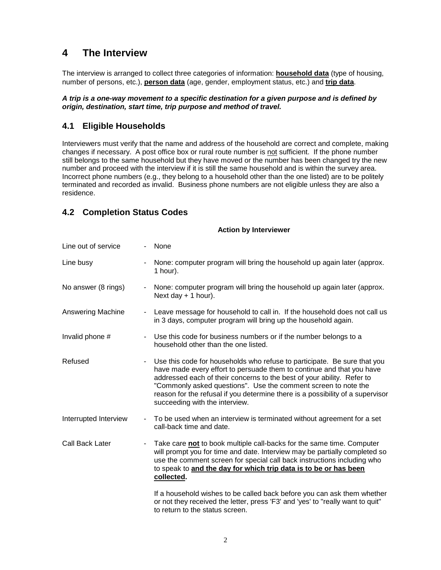# **4 The Interview**

The interview is arranged to collect three categories of information: **household data** (type of housing, number of persons, etc.), **person data** (age, gender, employment status, etc.) and **trip data**.

#### **A trip is a one-way movement to a specific destination for a given purpose and is defined by origin, destination, start time, trip purpose and method of travel.**

# **4.1 Eligible Households**

Interviewers must verify that the name and address of the household are correct and complete, making changes if necessary. A post office box or rural route number is not sufficient. If the phone number still belongs to the same household but they have moved or the number has been changed try the new number and proceed with the interview if it is still the same household and is within the survey area. Incorrect phone numbers (e.g., they belong to a household other than the one listed) are to be politely terminated and recorded as invalid. Business phone numbers are not eligible unless they are also a residence.

# **4.2 Completion Status Codes**

#### **Action by Interviewer**

| Line out of service   |                | None                                                                                                                                                                                                                                                                                                                                                                                                              |
|-----------------------|----------------|-------------------------------------------------------------------------------------------------------------------------------------------------------------------------------------------------------------------------------------------------------------------------------------------------------------------------------------------------------------------------------------------------------------------|
| Line busy             |                | None: computer program will bring the household up again later (approx.<br>$1$ hour).                                                                                                                                                                                                                                                                                                                             |
| No answer (8 rings)   | $\blacksquare$ | None: computer program will bring the household up again later (approx.<br>Next day $+ 1$ hour).                                                                                                                                                                                                                                                                                                                  |
| Answering Machine     |                | Leave message for household to call in. If the household does not call us<br>in 3 days, computer program will bring up the household again.                                                                                                                                                                                                                                                                       |
| Invalid phone #       | $\blacksquare$ | Use this code for business numbers or if the number belongs to a<br>household other than the one listed.                                                                                                                                                                                                                                                                                                          |
| Refused               | $\blacksquare$ | Use this code for households who refuse to participate. Be sure that you<br>have made every effort to persuade them to continue and that you have<br>addressed each of their concerns to the best of your ability. Refer to<br>"Commonly asked questions". Use the comment screen to note the<br>reason for the refusal if you determine there is a possibility of a supervisor<br>succeeding with the interview. |
| Interrupted Interview | $\sim$         | To be used when an interview is terminated without agreement for a set<br>call-back time and date.                                                                                                                                                                                                                                                                                                                |
| Call Back Later       |                | Take care not to book multiple call-backs for the same time. Computer<br>will prompt you for time and date. Interview may be partially completed so<br>use the comment screen for special call back instructions including who<br>to speak to and the day for which trip data is to be or has been<br>collected.                                                                                                  |
|                       |                | If a household wishes to be called back before you can ask them whether<br>or not they received the letter, press 'F3' and 'yes' to "really want to quit"<br>to return to the status screen.                                                                                                                                                                                                                      |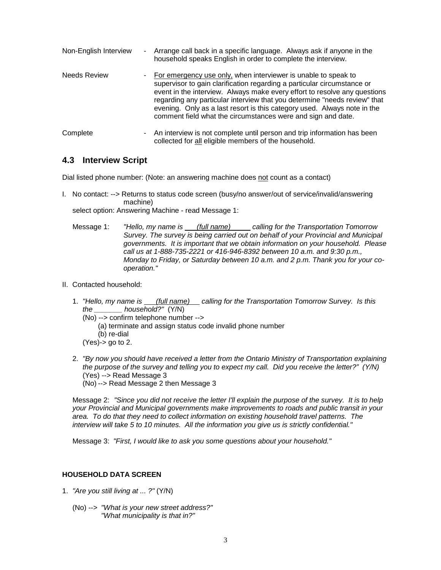| Non-English Interview | - Arrange call back in a specific language. Always ask if anyone in the<br>household speaks English in order to complete the interview.                                                                                                                                                                                                                                                                                                           |
|-----------------------|---------------------------------------------------------------------------------------------------------------------------------------------------------------------------------------------------------------------------------------------------------------------------------------------------------------------------------------------------------------------------------------------------------------------------------------------------|
| <b>Needs Review</b>   | - For emergency use only, when interviewer is unable to speak to<br>supervisor to gain clarification regarding a particular circumstance or<br>event in the interview. Always make every effort to resolve any questions<br>regarding any particular interview that you determine "needs review" that<br>evening. Only as a last resort is this category used. Always note in the<br>comment field what the circumstances were and sign and date. |
| Complete              | - An interview is not complete until person and trip information has been<br>collected for all eligible members of the household.                                                                                                                                                                                                                                                                                                                 |

## **4.3 Interview Script**

Dial listed phone number: (Note: an answering machine does not count as a contact)

I. No contact: --> Returns to status code screen (busy/no answer/out of service/invalid/answering machine)

select option: Answering Machine - read Message 1:

 Message 1: "Hello, my name is (full name) calling for the Transportation Tomorrow Survey. The survey is being carried out on behalf of your Provincial and Municipal governments. It is important that we obtain information on your household. Please call us at 1-888-735-2221 or 416-946-8392 between 10 a.m. and 9:30 p.m., Monday to Friday, or Saturday between 10 a.m. and 2 p.m. Thank you for your cooperation."

- II. Contacted household:
	- 1. "Hello, my name is (full name) calling for the Transportation Tomorrow Survey. Is this the household?" (Y/N)
		- (No) --> confirm telephone number -->
		- (a) terminate and assign status code invalid phone number (b) re-dial  $(Yes)$ -> go to 2.
	- 2. "By now you should have received a letter from the Ontario Ministry of Transportation explaining the purpose of the survey and telling you to expect my call. Did you receive the letter?" (Y/N) (Yes) --> Read Message 3

(No) --> Read Message 2 then Message 3

Message 2: "Since you did not receive the letter I'll explain the purpose of the survey. It is to help your Provincial and Municipal governments make improvements to roads and public transit in your area. To do that they need to collect information on existing household travel patterns. The interview will take 5 to 10 minutes. All the information you give us is strictly confidential."

Message 3: "First, I would like to ask you some questions about your household."

#### **HOUSEHOLD DATA SCREEN**

- 1. "Are you still living at ... ?" (Y/N)
	- (No) --> "What is your new street address?" "What municipality is that in?"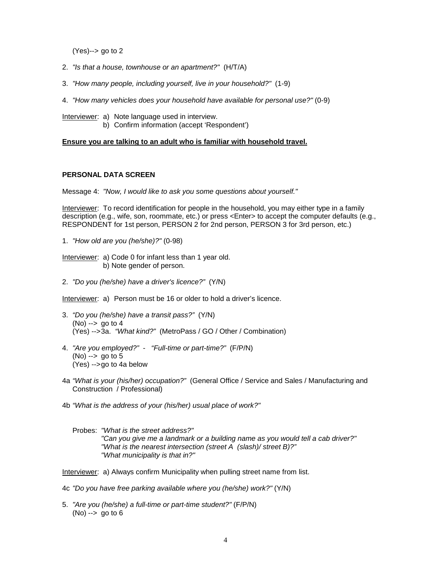(Yes)--> go to 2

- 2. "Is that a house, townhouse or an apartment?" (H/T/A)
- 3. "How many people, including yourself, live in your household?" (1-9)
- 4. "How many vehicles does your household have available for personal use?" (0-9)
- Interviewer: a) Note language used in interview. b) Confirm information (accept 'Respondent')

#### **Ensure you are talking to an adult who is familiar with household travel.**

#### **PERSONAL DATA SCREEN**

Message 4: "Now, I would like to ask you some questions about yourself."

Interviewer: To record identification for people in the household, you may either type in a family description (e.g., wife, son, roommate, etc.) or press <Enter> to accept the computer defaults (e.g., RESPONDENT for 1st person, PERSON 2 for 2nd person, PERSON 3 for 3rd person, etc.)

1. "How old are you (he/she)?" (0-98)

Interviewer: a) Code 0 for infant less than 1 year old. b) Note gender of person.

2. "Do you (he/she) have a driver's licence?" (Y/N)

Interviewer: a) Person must be 16 or older to hold a driver's licence.

- 3. "Do you (he/she) have a transit pass?" (Y/N)  $(No) \rightarrow so to 4$ (Yes) --> 3a. "What kind?" (MetroPass / GO / Other / Combination)
- 4. "Are you employed?" "Full-time or part-time?" (F/P/N) (No) --> go to 5 (Yes) --> go to 4a below
- 4a "What is your (his/her) occupation?" (General Office / Service and Sales / Manufacturing and Construction / Professional)
- 4b "What is the address of your (his/her) usual place of work?"
	- Probes: "What is the street address?" "Can you give me a landmark or a building name as you would tell a cab driver?" "What is the nearest intersection (street A (slash)/ street B)?" "What municipality is that in?"

Interviewer: a) Always confirm Municipality when pulling street name from list.

4c "Do you have free parking available where you (he/she) work?" (Y/N)

5. "Are you (he/she) a full-time or part-time student?" (F/P/N)  $(No) \rightarrow op$  go to 6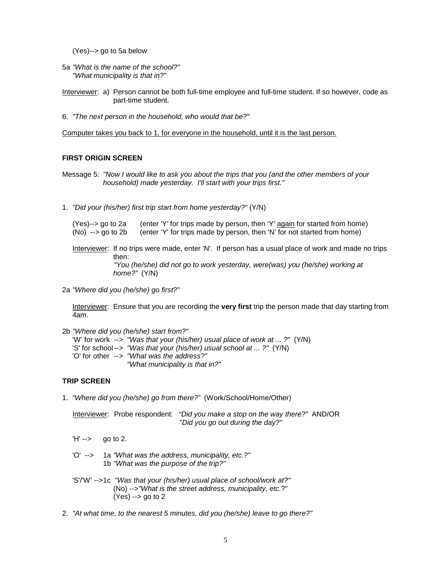(Yes)--> go to 5a below

- 5a "What is the name of the school?" "What municipality is that in?"
- Interviewer: a) Person cannot be both full-time employee and full-time student. If so however, code as part-time student.
- 6. "The next person in the household, who would that be?"

Computer takes you back to 1, for everyone in the household, until it is the last person.

#### **FIRST ORIGIN SCREEN**

Message 5: "Now I would like to ask you about the trips that you (and the other members of your household) made yesterday. I'll start with your trips first."

1. "Did your (his/her) first trip start from home yesterday?" (Y/N)

 (Yes)--> go to 2a (enter 'Y' for trips made by person, then 'Y' again for started from home) (No) --> go to 2b (enter 'Y' for trips made by person, then 'N' for not started from home)

Interviewer: If no trips were made, enter 'N'. If person has a usual place of work and made no trips then:

 "You (he/she) did not go to work yesterday, were(was) you (he/she) working at home?" (Y/N)

2a "Where did you (he/she) go first?"

Interviewer: Ensure that you are recording the **very first** trip the person made that day starting from 4am.

2b "Where did you (he/she) start from?"

 'W' for work --> "Was that your (his/her) usual place of work at ... ?" (Y/N) 'S' for school --> "Was that your (his/her) usual school at ... ?" (Y/N) 'O' for other --> "What was the address?" "What municipality is that in?"

#### **TRIP SCREEN**

1. "Where did you (he/she) go from there?" (Work/School/Home/Other)

 Interviewer: Probe respondent: "Did you make a stop on the way there?" AND/OR "Did you go out during the day?"

- $'H' \rightarrow \qquad$  go to 2.
- 'O' --> 1a "What was the address, municipality, etc.?" 1b "What was the purpose of the trip?"
- 'S'/'W' --> 1c "Was that your (his/her) usual place of school/work at?" (No) -->"What is the street address, municipality, etc.?"  $(Yes) \rightarrow go$  to 2
- 2. "At what time, to the nearest 5 minutes, did you (he/she) leave to go there?"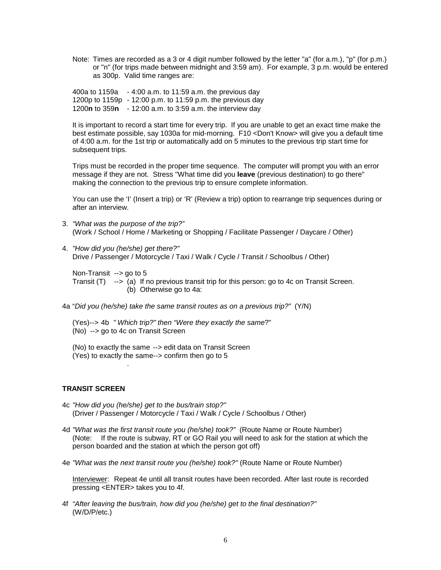Note: Times are recorded as a 3 or 4 digit number followed by the letter "a" (for a.m.), "p" (for p.m.) or "n" (for trips made between midnight and 3:59 am). For example, 3 p.m. would be entered as 300p. Valid time ranges are:

 400a to 1159a - 4:00 a.m. to 11:59 a.m. the previous day 1200p to 1159p - 12:00 p.m. to 11:59 p.m. the previous day 1200**n** to 359**n** - 12:00 a.m. to 3:59 a.m. the interview day

 It is important to record a start time for every trip. If you are unable to get an exact time make the best estimate possible, say 1030a for mid-morning. F10 <Don't Know> will give you a default time of 4:00 a.m. for the 1st trip or automatically add on 5 minutes to the previous trip start time for subsequent trips.

 Trips must be recorded in the proper time sequence. The computer will prompt you with an error message if they are not. Stress "What time did you **leave** (previous destination) to go there" making the connection to the previous trip to ensure complete information.

 You can use the 'I' (Insert a trip) or 'R' (Review a trip) option to rearrange trip sequences during or after an interview.

- 3. "What was the purpose of the trip?" (Work / School / Home / Marketing or Shopping / Facilitate Passenger / Daycare / Other)
- 4. "How did you (he/she) get there?" Drive / Passenger / Motorcycle / Taxi / Walk / Cycle / Transit / Schoolbus / Other)

 Non-Transit --> go to 5 Transit  $(T)$  -->  $\overline{a}$ ) If no previous transit trip for this person: go to 4c on Transit Screen. (b) Otherwise go to 4a:

4a "Did you (he/she) take the same transit routes as on a previous trip?" (Y/N)

 (Yes)--> 4b " Which trip?" then "Were they exactly the same?" (No) --> go to 4c on Transit Screen

 (No) to exactly the same --> edit data on Transit Screen (Yes) to exactly the same--> confirm then go to 5

#### **TRANSIT SCREEN**

.

- 4c "How did you (he/she) get to the bus/train stop?" (Driver / Passenger / Motorcycle / Taxi / Walk / Cycle / Schoolbus / Other)
- 4d "What was the first transit route you (he/she) took?" (Route Name or Route Number) (Note: If the route is subway, RT or GO Rail you will need to ask for the station at which the person boarded and the station at which the person got off)
- 4e "What was the next transit route you (he/she) took?" (Route Name or Route Number)

 Interviewer: Repeat 4e until all transit routes have been recorded. After last route is recorded pressing <ENTER> takes you to 4f.

4f "After leaving the bus/train, how did you (he/she) get to the final destination?" (W/D/P/etc.)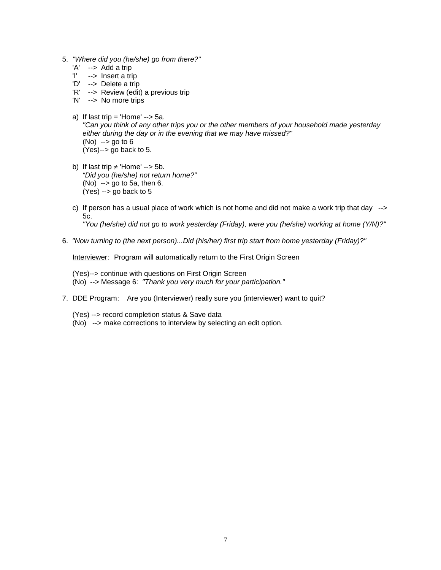- 5. "Where did you (he/she) go from there?"
	- 'A' --> Add a trip<br>'I' --> Insert a tri
	- --> Insert a trip
	- 'D' --> Delete a trip
	- 'R' --> Review (edit) a previous trip
	- 'N' --> No more trips
	- a) If last trip = 'Home'  $\rightarrow$  5a. "Can you think of any other trips you or the other members of your household made yesterday either during the day or in the evening that we may have missed?" (No) --> go to 6 (Yes)--> go back to 5.
	- b) If last trip  $\neq$  'Home' --> 5b. "Did you (he/she) not return home?"  $(No)$  --> go to 5a, then 6. (Yes) --> go back to 5
	- c) If person has a usual place of work which is not home and did not make a work trip that day --> 5c. "You (he/she) did not go to work yesterday (Friday), were you (he/she) working at home (Y/N)?"
- 6. "Now turning to (the next person)...Did (his/her) first trip start from home yesterday (Friday)?"

Interviewer: Program will automatically return to the First Origin Screen

 (Yes)--> continue with questions on First Origin Screen (No) --> Message 6: "Thank you very much for your participation."

- 7. DDE Program: Are you (Interviewer) really sure you (interviewer) want to quit?
	- (Yes) --> record completion status & Save data
	- (No) --> make corrections to interview by selecting an edit option.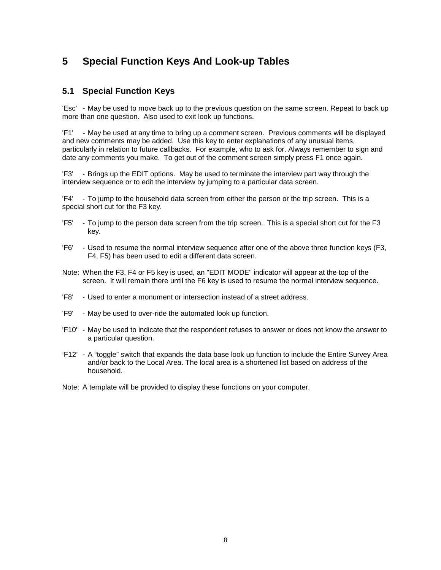# **5 Special Function Keys And Look-up Tables**

## **5.1 Special Function Keys**

'Esc' - May be used to move back up to the previous question on the same screen. Repeat to back up more than one question. Also used to exit look up functions.

'F1' - May be used at any time to bring up a comment screen. Previous comments will be displayed and new comments may be added. Use this key to enter explanations of any unusual items, particularly in relation to future callbacks. For example, who to ask for. Always remember to sign and date any comments you make. To get out of the comment screen simply press F1 once again.

'F3' - Brings up the EDIT options. May be used to terminate the interview part way through the interview sequence or to edit the interview by jumping to a particular data screen.

'F4' - To jump to the household data screen from either the person or the trip screen. This is a special short cut for the F3 key.

- 'F5' To jump to the person data screen from the trip screen. This is a special short cut for the F3 key.
- 'F6' Used to resume the normal interview sequence after one of the above three function keys (F3, F4, F5) has been used to edit a different data screen.
- Note: When the F3, F4 or F5 key is used, an "EDIT MODE" indicator will appear at the top of the screen. It will remain there until the F6 key is used to resume the normal interview sequence.
- 'F8' Used to enter a monument or intersection instead of a street address.
- 'F9' May be used to over-ride the automated look up function.
- 'F10' May be used to indicate that the respondent refuses to answer or does not know the answer to a particular question.
- 'F12' A "toggle" switch that expands the data base look up function to include the Entire Survey Area and/or back to the Local Area. The local area is a shortened list based on address of the household.
- Note: A template will be provided to display these functions on your computer.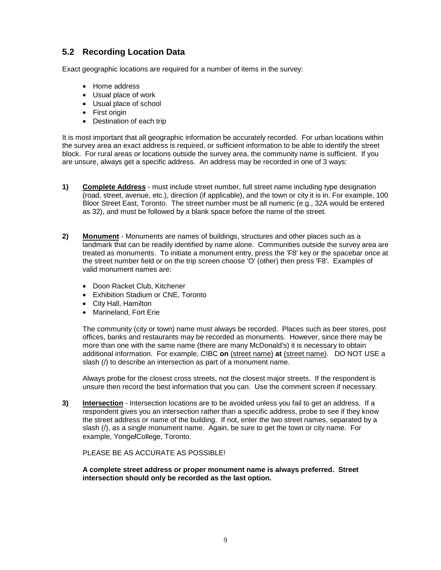# **5.2 Recording Location Data**

Exact geographic locations are required for a number of items in the survey:

- Home address
- Usual place of work
- Usual place of school
- First origin
- Destination of each trip

It is most important that all geographic information be accurately recorded. For urban locations within the survey area an exact address is required, or sufficient information to be able to identify the street block. For rural areas or locations outside the survey area, the community name is sufficient. If you are unsure, always get a specific address. An address may be recorded in one of 3 ways:

- **1) Complete Address** must include street number, full street name including type designation (road, street, avenue, etc.), direction (if applicable), and the town or city it is in. For example, 100 Bloor Street East, Toronto. The street number must be all numeric (e.g., 32A would be entered as 32), and must be followed by a blank space before the name of the street.
- **2) Monument** Monuments are names of buildings, structures and other places such as a landmark that can be readily identified by name alone. Communities outside the survey area are treated as monuments. To initiate a monument entry, press the 'F8' key or the spacebar once at the street number field or on the trip screen choose 'O' (other) then press 'F8'. Examples of valid monument names are:
	- Doon Racket Club, Kitchener
	- Exhibition Stadium or CNE, Toronto
	- City Hall, Hamilton
	- Marineland, Fort Erie

 The community (city or town) name must always be recorded. Places such as beer stores, post offices, banks and restaurants may be recorded as monuments. However, since there may be more than one with the same name (there are many McDonald's) it is necessary to obtain additional information. For example, CIBC **on** (street name) **at** (street name). DO NOT USE a slash (/) to describe an intersection as part of a monument name.

 Always probe for the closest cross streets, not the closest major streets. If the respondent is unsure then record the best information that you can. Use the comment screen if necessary.

**3) Intersection** - Intersection locations are to be avoided unless you fail to get an address. If a respondent gives you an intersection rather than a specific address, probe to see if they know the street address or name of the building. If not, enter the two street names, separated by a slash (/), as a single monument name. Again, be sure to get the town or city name. For example, Yonge**/**College, Toronto.

PLEASE BE AS ACCURATE AS POSSIBLE!

**A complete street address or proper monument name is always preferred. Street intersection should only be recorded as the last option.**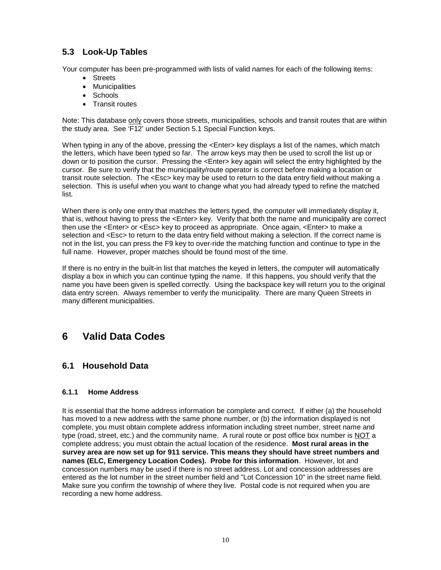# **5.3 Look-Up Tables**

Your computer has been pre-programmed with lists of valid names for each of the following items:

- Streets
- Municipalities
- Schools
- Transit routes

Note: This database only covers those streets, municipalities, schools and transit routes that are within the study area. See 'F12' under Section 5.1 Special Function keys.

When typing in any of the above, pressing the <Enter> key displays a list of the names, which match the letters, which have been typed so far. The arrow keys may then be used to scroll the list up or down or to position the cursor. Pressing the <Enter> key again will select the entry highlighted by the cursor. Be sure to verify that the municipality/route operator is correct before making a location or transit route selection. The <Esc> key may be used to return to the data entry field without making a selection. This is useful when you want to change what you had already typed to refine the matched list.

When there is only one entry that matches the letters typed, the computer will immediately display it, that is, without having to press the <Enter> key. Verify that both the name and municipality are correct then use the <Enter> or <Esc> key to proceed as appropriate. Once again, <Enter> to make a selection and <Esc> to return to the data entry field without making a selection. If the correct name is not in the list, you can press the F9 key to over-ride the matching function and continue to type in the full name. However, proper matches should be found most of the time.

If there is no entry in the built-in list that matches the keyed in letters, the computer will automatically display a box in which you can continue typing the name. If this happens, you should verify that the name you have been given is spelled correctly. Using the backspace key will return you to the original data entry screen. Always remember to verify the municipality. There are many Queen Streets in many different municipalities.

# **6 Valid Data Codes**

# **6.1 Household Data**

#### **6.1.1 Home Address**

It is essential that the home address information be complete and correct. If either (a) the household has moved to a new address with the same phone number, or (b) the information displayed is not complete, you must obtain complete address information including street number, street name and type (road, street, etc.) and the community name. A rural route or post office box number is NOT a complete address; you must obtain the actual location of the residence. **Most rural areas in the survey area are now set up for 911 service. This means they should have street numbers and names (ELC, Emergency Location Codes). Probe for this information**. However, lot and concession numbers may be used if there is no street address. Lot and concession addresses are entered as the lot number in the street number field and "Lot Concession 10" in the street name field. Make sure you confirm the township of where they live. Postal code is not required when you are recording a new home address.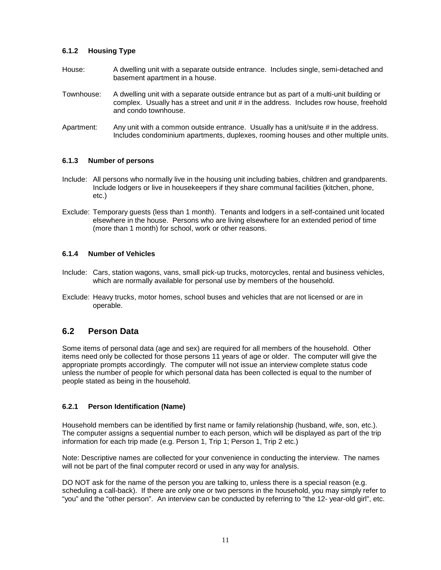#### **6.1.2 Housing Type**

- House: A dwelling unit with a separate outside entrance. Includes single, semi-detached and basement apartment in a house.
- Townhouse: A dwelling unit with a separate outside entrance but as part of a multi-unit building or complex. Usually has a street and unit # in the address. Includes row house, freehold and condo townhouse.
- Apartment: Any unit with a common outside entrance. Usually has a unit/suite # in the address. Includes condominium apartments, duplexes, rooming houses and other multiple units.

#### **6.1.3 Number of persons**

- Include: All persons who normally live in the housing unit including babies, children and grandparents. Include lodgers or live in housekeepers if they share communal facilities (kitchen, phone, etc.)
- Exclude: Temporary guests (less than 1 month). Tenants and lodgers in a self-contained unit located elsewhere in the house. Persons who are living elsewhere for an extended period of time (more than 1 month) for school, work or other reasons.

#### **6.1.4 Number of Vehicles**

- Include: Cars, station wagons, vans, small pick-up trucks, motorcycles, rental and business vehicles, which are normally available for personal use by members of the household.
- Exclude: Heavy trucks, motor homes, school buses and vehicles that are not licensed or are in operable.

### **6.2 Person Data**

Some items of personal data (age and sex) are required for all members of the household. Other items need only be collected for those persons 11 years of age or older. The computer will give the appropriate prompts accordingly. The computer will not issue an interview complete status code unless the number of people for which personal data has been collected is equal to the number of people stated as being in the household.

#### **6.2.1 Person Identification (Name)**

Household members can be identified by first name or family relationship (husband, wife, son, etc.). The computer assigns a sequential number to each person, which will be displayed as part of the trip information for each trip made (e.g. Person 1, Trip 1; Person 1, Trip 2 etc.)

Note: Descriptive names are collected for your convenience in conducting the interview. The names will not be part of the final computer record or used in any way for analysis.

DO NOT ask for the name of the person you are talking to, unless there is a special reason (e.g. scheduling a call-back). If there are only one or two persons in the household, you may simply refer to "you" and the "other person". An interview can be conducted by referring to "the 12- year-old girl", etc.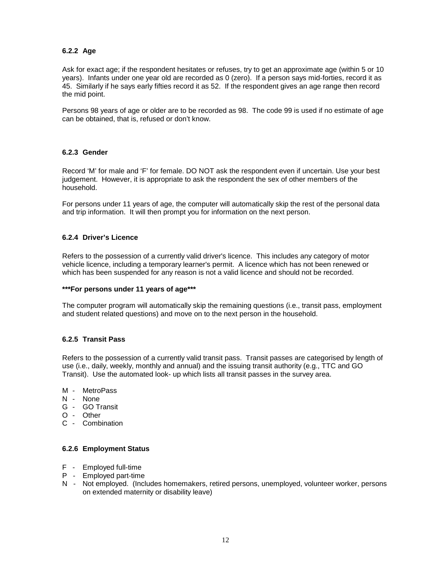#### **6.2.2 Age**

Ask for exact age; if the respondent hesitates or refuses, try to get an approximate age (within 5 or 10 years). Infants under one year old are recorded as 0 (zero). If a person says mid-forties, record it as 45. Similarly if he says early fifties record it as 52. If the respondent gives an age range then record the mid point.

Persons 98 years of age or older are to be recorded as 98. The code 99 is used if no estimate of age can be obtained, that is, refused or don't know.

#### **6.2.3 Gender**

Record 'M' for male and 'F' for female. DO NOT ask the respondent even if uncertain. Use your best judgement. However, it is appropriate to ask the respondent the sex of other members of the household.

For persons under 11 years of age, the computer will automatically skip the rest of the personal data and trip information. It will then prompt you for information on the next person.

#### **6.2.4 Driver's Licence**

Refers to the possession of a currently valid driver's licence. This includes any category of motor vehicle licence, including a temporary learner's permit. A licence which has not been renewed or which has been suspended for any reason is not a valid licence and should not be recorded.

#### **\*\*\*For persons under 11 years of age\*\*\***

The computer program will automatically skip the remaining questions (i.e., transit pass, employment and student related questions) and move on to the next person in the household.

#### **6.2.5 Transit Pass**

Refers to the possession of a currently valid transit pass. Transit passes are categorised by length of use (i.e., daily, weekly, monthly and annual) and the issuing transit authority (e.g., TTC and GO Transit). Use the automated look- up which lists all transit passes in the survey area.

- M MetroPass
- N None
- G GO Transit
- O Other
- C Combination

#### **6.2.6 Employment Status**

- F Employed full-time
- P Employed part-time
- N Not employed. (Includes homemakers, retired persons, unemployed, volunteer worker, persons on extended maternity or disability leave)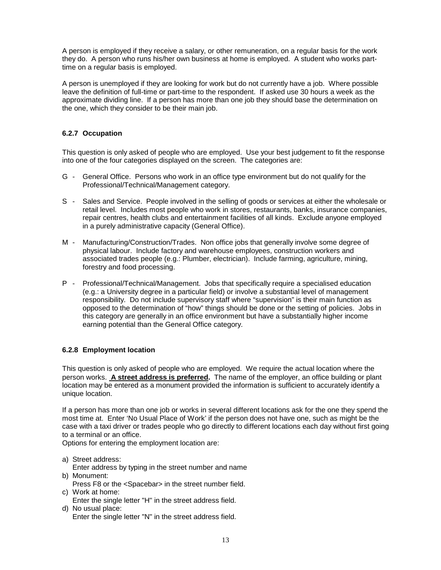A person is employed if they receive a salary, or other remuneration, on a regular basis for the work they do. A person who runs his/her own business at home is employed. A student who works parttime on a regular basis is employed.

A person is unemployed if they are looking for work but do not currently have a job. Where possible leave the definition of full-time or part-time to the respondent. If asked use 30 hours a week as the approximate dividing line. If a person has more than one job they should base the determination on the one, which they consider to be their main job.

#### **6.2.7 Occupation**

This question is only asked of people who are employed. Use your best judgement to fit the response into one of the four categories displayed on the screen. The categories are:

- G General Office. Persons who work in an office type environment but do not qualify for the Professional/Technical/Management category.
- S Sales and Service. People involved in the selling of goods or services at either the wholesale or retail level. Includes most people who work in stores, restaurants, banks, insurance companies, repair centres, health clubs and entertainment facilities of all kinds. Exclude anyone employed in a purely administrative capacity (General Office).
- M Manufacturing/Construction/Trades. Non office jobs that generally involve some degree of physical labour. Include factory and warehouse employees, construction workers and associated trades people (e.g.: Plumber, electrician). Include farming, agriculture, mining, forestry and food processing.
- P Professional/Technical/Management. Jobs that specifically require a specialised education (e.g.: a University degree in a particular field) or involve a substantial level of management responsibility. Do not include supervisory staff where "supervision" is their main function as opposed to the determination of "how" things should be done or the setting of policies. Jobs in this category are generally in an office environment but have a substantially higher income earning potential than the General Office category.

#### **6.2.8 Employment location**

This question is only asked of people who are employed. We require the actual location where the person works. **A street address is preferred.** The name of the employer, an office building or plant location may be entered as a monument provided the information is sufficient to accurately identify a unique location.

If a person has more than one job or works in several different locations ask for the one they spend the most time at. Enter 'No Usual Place of Work' if the person does not have one, such as might be the case with a taxi driver or trades people who go directly to different locations each day without first going to a terminal or an office.

Options for entering the employment location are:

- a) Street address:
- Enter address by typing in the street number and name b) Monument:
- Press F8 or the <Spacebar> in the street number field.
- c) Work at home:
	- Enter the single letter "H" in the street address field.
- d) No usual place: Enter the single letter "N" in the street address field.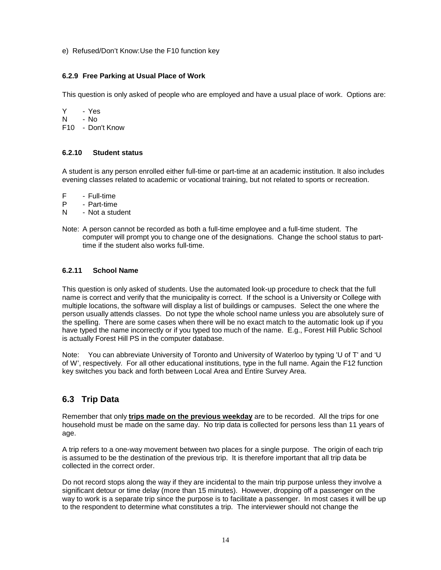e) Refused/Don't Know: Use the F10 function key

#### **6.2.9 Free Parking at Usual Place of Work**

This question is only asked of people who are employed and have a usual place of work. Options are:

Y - Yes N - No F10 - Don't Know

#### **6.2.10 Student status**

A student is any person enrolled either full-time or part-time at an academic institution. It also includes evening classes related to academic or vocational training, but not related to sports or recreation.

- F Full-time<br>P Part-time
- Part-time
- N Not a student
- Note: A person cannot be recorded as both a full-time employee and a full-time student. The computer will prompt you to change one of the designations. Change the school status to parttime if the student also works full-time.

#### **6.2.11 School Name**

This question is only asked of students. Use the automated look-up procedure to check that the full name is correct and verify that the municipality is correct. If the school is a University or College with multiple locations, the software will display a list of buildings or campuses. Select the one where the person usually attends classes. Do not type the whole school name unless you are absolutely sure of the spelling. There are some cases when there will be no exact match to the automatic look up if you have typed the name incorrectly or if you typed too much of the name. E.g., Forest Hill Public School is actually Forest Hill PS in the computer database.

Note: You can abbreviate University of Toronto and University of Waterloo by typing 'U of T' and 'U of W', respectively. For all other educational institutions, type in the full name. Again the F12 function key switches you back and forth between Local Area and Entire Survey Area.

# **6.3 Trip Data**

Remember that only **trips made on the previous weekday** are to be recorded. All the trips for one household must be made on the same day. No trip data is collected for persons less than 11 years of age.

A trip refers to a one-way movement between two places for a single purpose. The origin of each trip is assumed to be the destination of the previous trip. It is therefore important that all trip data be collected in the correct order.

Do not record stops along the way if they are incidental to the main trip purpose unless they involve a significant detour or time delay (more than 15 minutes). However, dropping off a passenger on the way to work is a separate trip since the purpose is to facilitate a passenger. In most cases it will be up to the respondent to determine what constitutes a trip. The interviewer should not change the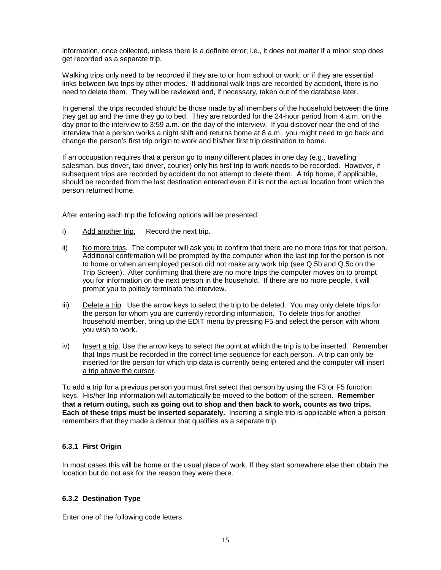information, once collected, unless there is a definite error; i.e., it does not matter if a minor stop does get recorded as a separate trip.

Walking trips only need to be recorded if they are to or from school or work, or if they are essential links between two trips by other modes. If additional walk trips are recorded by accident, there is no need to delete them. They will be reviewed and, if necessary, taken out of the database later.

In general, the trips recorded should be those made by all members of the household between the time they get up and the time they go to bed. They are recorded for the 24-hour period from 4 a.m. on the day prior to the interview to 3:59 a.m. on the day of the interview. If you discover near the end of the interview that a person works a night shift and returns home at 8 a.m., you might need to go back and change the person's first trip origin to work and his/her first trip destination to home.

If an occupation requires that a person go to many different places in one day (e.g., travelling salesman, bus driver, taxi driver, courier) only his first trip to work needs to be recorded. However, if subsequent trips are recorded by accident do not attempt to delete them. A trip home, if applicable, should be recorded from the last destination entered even if it is not the actual location from which the person returned home.

After entering each trip the following options will be presented:

- i) Add another trip. Record the next trip.
- ii) No more trips. The computer will ask you to confirm that there are no more trips for that person. Additional confirmation will be prompted by the computer when the last trip for the person is not to home or when an employed person did not make any work trip (see Q.5b and Q.5c on the Trip Screen). After confirming that there are no more trips the computer moves on to prompt you for information on the next person in the household. If there are no more people, it will prompt you to politely terminate the interview.
- iii) Delete a trip. Use the arrow keys to select the trip to be deleted. You may only delete trips for the person for whom you are currently recording information. To delete trips for another household member, bring up the EDIT menu by pressing F5 and select the person with whom you wish to work.
- iv) Insert a trip. Use the arrow keys to select the point at which the trip is to be inserted. Remember that trips must be recorded in the correct time sequence for each person. A trip can only be inserted for the person for which trip data is currently being entered and the computer will insert a trip above the cursor.

To add a trip for a previous person you must first select that person by using the F3 or F5 function keys. His/her trip information will automatically be moved to the bottom of the screen. **Remember that a return outing, such as going out to shop and then back to work, counts as two trips. Each of these trips must be inserted separately.** Inserting a single trip is applicable when a person remembers that they made a detour that qualifies as a separate trip.

#### **6.3.1 First Origin**

In most cases this will be home or the usual place of work. If they start somewhere else then obtain the location but do not ask for the reason they were there.

#### **6.3.2 Destination Type**

Enter one of the following code letters: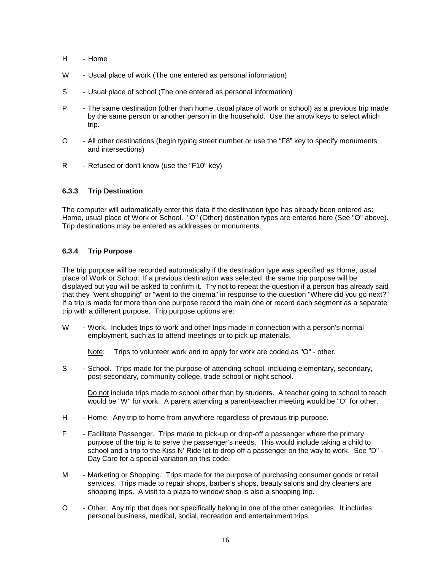- H Home
- W Usual place of work (The one entered as personal information)
- S Usual place of school (The one entered as personal information)
- P The same destination (other than home, usual place of work or school) as a previous trip made by the same person or another person in the household. Use the arrow keys to select which trip.
- O All other destinations (begin typing street number or use the "F8" key to specify monuments and intersections)
- R Refused or don't know (use the "F10" key)

#### **6.3.3 Trip Destination**

The computer will automatically enter this data if the destination type has already been entered as: Home, usual place of Work or School. "O" (Other) destination types are entered here (See "O" above). Trip destinations may be entered as addresses or monuments.

#### **6.3.4 Trip Purpose**

The trip purpose will be recorded automatically if the destination type was specified as Home, usual place of Work or School. If a previous destination was selected, the same trip purpose will be displayed but you will be asked to confirm it. Try not to repeat the question if a person has already said that they "went shopping" or "went to the cinema" in response to the question "Where did you go next?" If a trip is made for more than one purpose record the main one or record each segment as a separate trip with a different purpose. Trip purpose options are:

W - Work. Includes trips to work and other trips made in connection with a person's normal employment, such as to attend meetings or to pick up materials.

Note: Trips to volunteer work and to apply for work are coded as "O" - other.

S - School. Trips made for the purpose of attending school, including elementary, secondary, post-secondary, community college, trade school or night school.

Do not include trips made to school other than by students. A teacher going to school to teach would be "W" for work. A parent attending a parent-teacher meeting would be "O" for other.

- H Home. Any trip to home from anywhere regardless of previous trip purpose.
- F Facilitate Passenger. Trips made to pick-up or drop-off a passenger where the primary purpose of the trip is to serve the passenger's needs. This would include taking a child to school and a trip to the Kiss N' Ride lot to drop off a passenger on the way to work. See "D" - Day Care for a special variation on this code.
- M Marketing or Shopping. Trips made for the purpose of purchasing consumer goods or retail services. Trips made to repair shops, barber's shops, beauty salons and dry cleaners are shopping trips. A visit to a plaza to window shop is also a shopping trip.
- O Other. Any trip that does not specifically belong in one of the other categories. It includes personal business, medical, social, recreation and entertainment trips.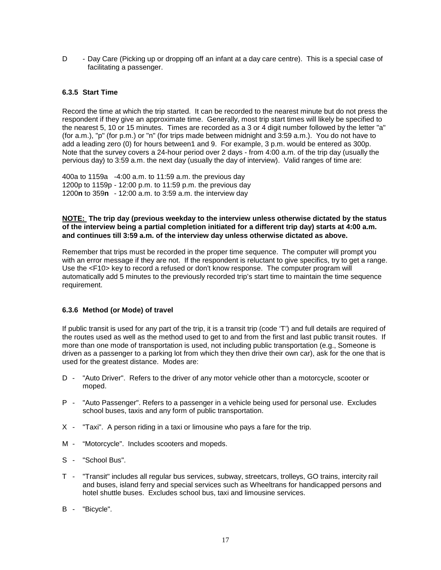D - Day Care (Picking up or dropping off an infant at a day care centre). This is a special case of facilitating a passenger.

#### **6.3.5 Start Time**

Record the time at which the trip started. It can be recorded to the nearest minute but do not press the respondent if they give an approximate time. Generally, most trip start times will likely be specified to the nearest 5, 10 or 15 minutes. Times are recorded as a 3 or 4 digit number followed by the letter "a" (for a.m.), "p" (for p.m.) or "n" (for trips made between midnight and 3:59 a.m.). You do not have to add a leading zero (0) for hours between1 and 9. For example, 3 p.m. would be entered as 300p. Note that the survey covers a 24-hour period over 2 days - from 4:00 a.m. of the trip day (usually the pervious day) to 3:59 a.m. the next day (usually the day of interview). Valid ranges of time are:

400a to 1159a -4:00 a.m. to 11:59 a.m. the previous day 1200p to 1159p - 12:00 p.m. to 11:59 p.m. the previous day 1200**n** to 359**n** - 12:00 a.m. to 3:59 a.m. the interview day

#### **NOTE: The trip day (previous weekday to the interview unless otherwise dictated by the status of the interview being a partial completion initiated for a different trip day) starts at 4:00 a.m. and continues till 3:59 a.m. of the interview day unless otherwise dictated as above.**

Remember that trips must be recorded in the proper time sequence. The computer will prompt you with an error message if they are not. If the respondent is reluctant to give specifics, try to get a range. Use the <F10> key to record a refused or don't know response. The computer program will automatically add 5 minutes to the previously recorded trip's start time to maintain the time sequence requirement.

#### **6.3.6 Method (or Mode) of travel**

If public transit is used for any part of the trip, it is a transit trip (code 'T') and full details are required of the routes used as well as the method used to get to and from the first and last public transit routes. If more than one mode of transportation is used, not including public transportation (e.g., Someone is driven as a passenger to a parking lot from which they then drive their own car), ask for the one that is used for the greatest distance. Modes are:

- D "Auto Driver". Refers to the driver of any motor vehicle other than a motorcycle, scooter or moped.
- P "Auto Passenger". Refers to a passenger in a vehicle being used for personal use. Excludes school buses, taxis and any form of public transportation.
- X "Taxi". A person riding in a taxi or limousine who pays a fare for the trip.
- M "Motorcycle". Includes scooters and mopeds.
- S "School Bus".
- T "Transit" includes all regular bus services, subway, streetcars, trolleys, GO trains, intercity rail and buses, island ferry and special services such as Wheeltrans for handicapped persons and hotel shuttle buses. Excludes school bus, taxi and limousine services.
- B "Bicycle".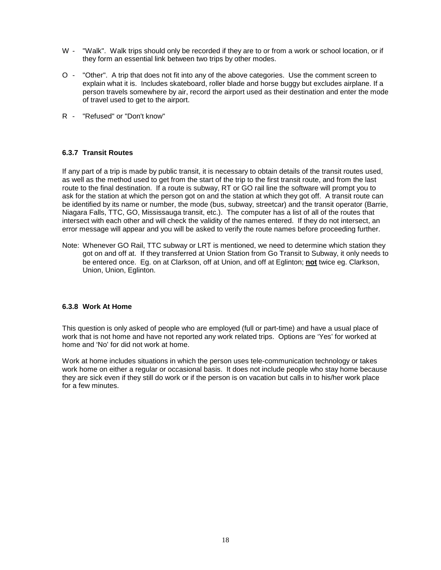- W "Walk". Walk trips should only be recorded if they are to or from a work or school location, or if they form an essential link between two trips by other modes.
- O "Other". A trip that does not fit into any of the above categories. Use the comment screen to explain what it is. Includes skateboard, roller blade and horse buggy but excludes airplane. If a person travels somewhere by air, record the airport used as their destination and enter the mode of travel used to get to the airport.
- R "Refused" or "Don't know"

#### **6.3.7 Transit Routes**

If any part of a trip is made by public transit, it is necessary to obtain details of the transit routes used, as well as the method used to get from the start of the trip to the first transit route, and from the last route to the final destination. If a route is subway, RT or GO rail line the software will prompt you to ask for the station at which the person got on and the station at which they got off. A transit route can be identified by its name or number, the mode (bus, subway, streetcar) and the transit operator (Barrie, Niagara Falls, TTC, GO, Mississauga transit, etc.). The computer has a list of all of the routes that intersect with each other and will check the validity of the names entered. If they do not intersect, an error message will appear and you will be asked to verify the route names before proceeding further.

Note: Whenever GO Rail, TTC subway or LRT is mentioned, we need to determine which station they got on and off at. If they transferred at Union Station from Go Transit to Subway, it only needs to be entered once. Eg. on at Clarkson, off at Union, and off at Eglinton; **not** twice eg. Clarkson, Union, Union, Eglinton.

#### **6.3.8 Work At Home**

This question is only asked of people who are employed (full or part-time) and have a usual place of work that is not home and have not reported any work related trips. Options are 'Yes' for worked at home and 'No' for did not work at home.

Work at home includes situations in which the person uses tele-communication technology or takes work home on either a regular or occasional basis. It does not include people who stay home because they are sick even if they still do work or if the person is on vacation but calls in to his/her work place for a few minutes.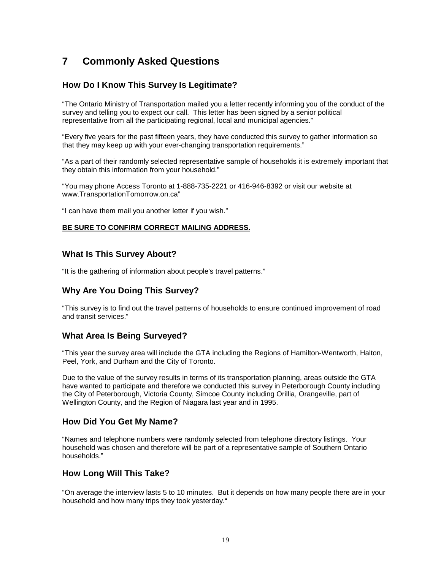# **7 Commonly Asked Questions**

# **How Do I Know This Survey Is Legitimate?**

"The Ontario Ministry of Transportation mailed you a letter recently informing you of the conduct of the survey and telling you to expect our call. This letter has been signed by a senior political representative from all the participating regional, local and municipal agencies."

"Every five years for the past fifteen years, they have conducted this survey to gather information so that they may keep up with your ever-changing transportation requirements."

"As a part of their randomly selected representative sample of households it is extremely important that they obtain this information from your household."

"You may phone Access Toronto at 1-888-735-2221 or 416-946-8392 or visit our website at www.TransportationTomorrow.on.ca"

"I can have them mail you another letter if you wish."

#### **BE SURE TO CONFIRM CORRECT MAILING ADDRESS.**

### **What Is This Survey About?**

"It is the gathering of information about people's travel patterns."

### **Why Are You Doing This Survey?**

"This survey is to find out the travel patterns of households to ensure continued improvement of road and transit services."

#### **What Area Is Being Surveyed?**

"This year the survey area will include the GTA including the Regions of Hamilton-Wentworth, Halton, Peel, York, and Durham and the City of Toronto.

Due to the value of the survey results in terms of its transportation planning, areas outside the GTA have wanted to participate and therefore we conducted this survey in Peterborough County including the City of Peterborough, Victoria County, Simcoe County including Orillia, Orangeville, part of Wellington County, and the Region of Niagara last year and in 1995.

### **How Did You Get My Name?**

"Names and telephone numbers were randomly selected from telephone directory listings. Your household was chosen and therefore will be part of a representative sample of Southern Ontario households."

#### **How Long Will This Take?**

"On average the interview lasts 5 to 10 minutes. But it depends on how many people there are in your household and how many trips they took yesterday."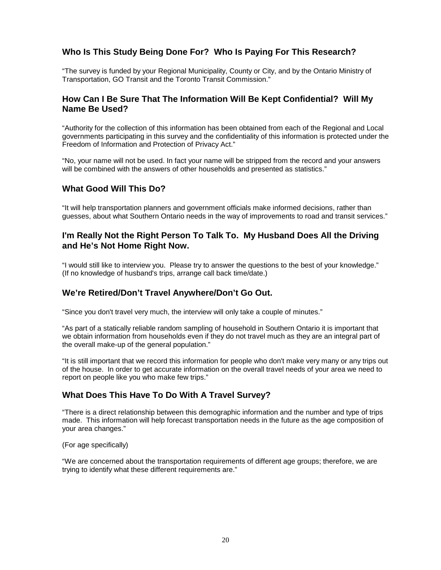# **Who Is This Study Being Done For? Who Is Paying For This Research?**

"The survey is funded by your Regional Municipality, County or City, and by the Ontario Ministry of Transportation, GO Transit and the Toronto Transit Commission."

## **How Can I Be Sure That The Information Will Be Kept Confidential? Will My Name Be Used?**

"Authority for the collection of this information has been obtained from each of the Regional and Local governments participating in this survey and the confidentiality of this information is protected under the Freedom of Information and Protection of Privacy Act."

"No, your name will not be used. In fact your name will be stripped from the record and your answers will be combined with the answers of other households and presented as statistics."

### **What Good Will This Do?**

"It will help transportation planners and government officials make informed decisions, rather than guesses, about what Southern Ontario needs in the way of improvements to road and transit services."

### **I'm Really Not the Right Person To Talk To. My Husband Does All the Driving and He's Not Home Right Now.**

"I would still like to interview you. Please try to answer the questions to the best of your knowledge." (If no knowledge of husband's trips, arrange call back time/date.)

### **We're Retired/Don't Travel Anywhere/Don't Go Out.**

"Since you don't travel very much, the interview will only take a couple of minutes."

"As part of a statically reliable random sampling of household in Southern Ontario it is important that we obtain information from households even if they do not travel much as they are an integral part of the overall make-up of the general population."

"It is still important that we record this information for people who don't make very many or any trips out of the house. In order to get accurate information on the overall travel needs of your area we need to report on people like you who make few trips."

### **What Does This Have To Do With A Travel Survey?**

"There is a direct relationship between this demographic information and the number and type of trips made. This information will help forecast transportation needs in the future as the age composition of your area changes."

(For age specifically)

"We are concerned about the transportation requirements of different age groups; therefore, we are trying to identify what these different requirements are."